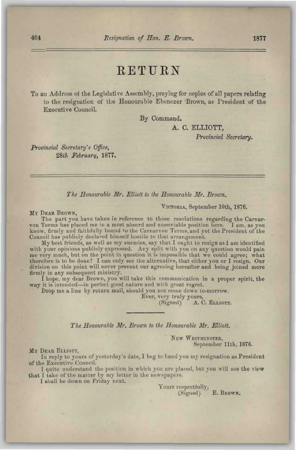### RETURN

To an Address oi the Legislative Assembly, praying for copies of all papers relating to the resignation of the Honourable Ebenezer Brown, as President of the Executive Council.

By Command.

**A. C. ELLIOTT,** 

*Provincial Secretary.* 

*Provincial Secretary's Office, 2Sih February,* **1877.** 

#### *The Honourable Mr. Elliott to the Honourable Mr. Brown.*

#### VICTORIA, September 10th, 1876.

#### MY BEAR BROWN,

The part you have taken in reference to those resolutions regarding the Carnarvon Terms has placed me in a most absurd and unenviable position here. I am, as you know, firmly and faithfully bound to the Carnarvon Terms, and yet the President of the Council has publicly declared himself hostile to that arrangement.

My best friends, as well as my enemies, say that I ought to resign as I am identified with your opinions publicly expressed. Any split with you on any question would pain me very much, but on the point in question it is impossible that we could agree; what therefore is to be done? I can only see the alternative, that either you or I resign. Our division on this point will never prevent our agreeing hereafter and being joined more firmly in any subsequent ministry.

I hope, my dear Brown, you will take this communication in a proper spirit, the way it is intended—in perfect good nature and with great regret.

Brop me a line by return mail, should you not come down to-morrow.

Ever, very truly yours,

A. C. ELLIOTT.

*The Honourable Mr. Brown to the Honourable Mr. Elliott.* 

NEW WESTMINSTER, September 11th, 1876.

MY BEAR ELLIOTT,

In reply to yours of yesterday's date, I beg to hand you my resignation as President of the Executive Council.

1 quite understand the position in which you are placed, but you will see the view that I take of the matter by my letter in the newspapers.

I shall be down on Friday next.

Yours respectfully, (Signed) E. BROWN.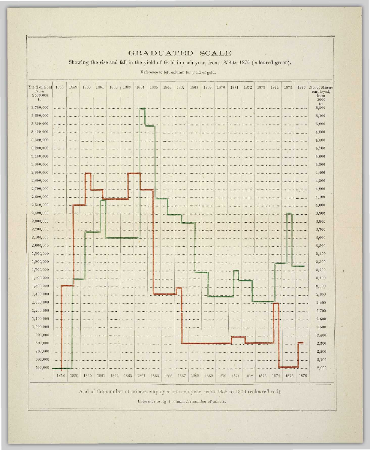| $\sim$<br>GRADUATED SCALE                |                                                                                                                                                 |                           |                 |                  |                                                                                      |                     |                             |                               |                                                 |                |                             |                                                                   |                          |                                                                          |                             |                         |                          |                                       |                     |                                            |
|------------------------------------------|-------------------------------------------------------------------------------------------------------------------------------------------------|---------------------------|-----------------|------------------|--------------------------------------------------------------------------------------|---------------------|-----------------------------|-------------------------------|-------------------------------------------------|----------------|-----------------------------|-------------------------------------------------------------------|--------------------------|--------------------------------------------------------------------------|-----------------------------|-------------------------|--------------------------|---------------------------------------|---------------------|--------------------------------------------|
|                                          | Showing the rise and fall in the yield of Gold in each year, from 1858 to 1876 (coloured green).<br>Reference to left column for yield of gold. |                           |                 |                  |                                                                                      |                     |                             |                               |                                                 |                |                             |                                                                   |                          |                                                                          |                             |                         |                          |                                       |                     |                                            |
| Yield of Gold<br>from<br>\$500,000<br>to | 1858                                                                                                                                            | 1859                      | 1860            | 1861             | 1862                                                                                 | 1863                | 1864                        | 1865                          | 1866                                            | 1867           | 1868                        | 1869                                                              | 1870<br>0,8              | 1871                                                                     | 1872                        | 1873                    | 1874                     | 1875                                  | 1876                | No. of Miners<br>employed,<br>from<br>2000 |
| 3,700,000                                |                                                                                                                                                 |                           |                 |                  |                                                                                      |                     |                             |                               |                                                 |                |                             |                                                                   |                          |                                                                          |                             |                         |                          |                                       | *********           | to<br>5,200                                |
| 3,600,000                                |                                                                                                                                                 |                           |                 |                  |                                                                                      |                     | 1.1.111.1.1                 |                               |                                                 |                |                             |                                                                   |                          |                                                                          |                             |                         |                          |                                       |                     | 5,100                                      |
| 3,500,000                                |                                                                                                                                                 |                           | .               |                  | $1 + 1 + 1 + 1 + 1 + 1$                                                              |                     |                             | 1.1.1.1.1.1.1.1.1             |                                                 |                |                             |                                                                   |                          |                                                                          |                             |                         |                          |                                       |                     | 5,000                                      |
| 3,400,000                                |                                                                                                                                                 |                           |                 |                  |                                                                                      |                     |                             |                               |                                                 |                |                             |                                                                   |                          |                                                                          |                             |                         |                          |                                       |                     | 4,900                                      |
| 3,300,000                                |                                                                                                                                                 |                           |                 |                  | *********                                                                            |                     | *********                   |                               |                                                 |                |                             |                                                                   |                          |                                                                          |                             |                         |                          |                                       |                     | 4,800                                      |
| 3,200,000                                |                                                                                                                                                 |                           |                 |                  | 1.11111111111                                                                        |                     | *********                   |                               |                                                 |                |                             |                                                                   |                          |                                                                          |                             |                         |                          |                                       |                     | 4,700                                      |
| 3,100,000                                |                                                                                                                                                 |                           |                 | .                |                                                                                      |                     |                             |                               |                                                 |                |                             |                                                                   |                          |                                                                          |                             |                         |                          |                                       |                     | 4,600                                      |
| 3,000,000                                |                                                                                                                                                 |                           |                 | $+ + + + + +$    |                                                                                      |                     |                             |                               |                                                 |                |                             |                                                                   |                          |                                                                          |                             |                         |                          |                                       |                     | 4,500                                      |
| 2,900,000                                |                                                                                                                                                 |                           |                 |                  |                                                                                      |                     |                             |                               |                                                 |                |                             |                                                                   |                          | *********                                                                |                             |                         |                          |                                       | *********           | 4,400                                      |
| 2,800,000                                |                                                                                                                                                 | .                         |                 |                  |                                                                                      |                     |                             |                               |                                                 |                |                             |                                                                   | ********                 |                                                                          |                             |                         |                          |                                       |                     | 4,300                                      |
| 2,700,000                                |                                                                                                                                                 |                           |                 |                  |                                                                                      |                     |                             |                               | .                                               | ********       |                             | ********** ********* *********                                    |                          | ********                                                                 |                             | <b><i>BERTSSELF</i></b> |                          | <b>ARREFREED BEESSIES   TESTIFIES</b> |                     | 4,200                                      |
| 2,600,000                                |                                                                                                                                                 |                           |                 |                  |                                                                                      |                     | <b>*********</b>            | <b>A 4-4-60 P. Automotive</b> |                                                 |                |                             | <u> Adamadess (1899-1999) - Letteral (1999-1998) - Letteral (</u> |                          |                                                                          |                             |                         |                          | <b>ARABARANA ARABARANA JEREKANAIT</b> |                     | 4,100                                      |
| 2,500,000                                |                                                                                                                                                 |                           |                 |                  |                                                                                      |                     |                             |                               |                                                 | *********      | $1 + 1 + 1 + 1 + 1 + 1$     |                                                                   | ********                 | *********                                                                |                             |                         |                          | <b>********* ********* *********</b>  |                     | 4,000                                      |
| 2,400,000                                | <b><i>PARADORIA   LEXAMBRAI</i></b>                                                                                                             |                           |                 |                  |                                                                                      |                     |                             |                               | <b>TARABIAN BERTH</b>                           |                |                             |                                                                   |                          |                                                                          |                             |                         |                          | SERREFERED PLANTING SERREFERE         |                     | 3,900                                      |
| 2,300,000                                |                                                                                                                                                 |                           |                 |                  |                                                                                      |                     |                             |                               |                                                 |                |                             |                                                                   |                          | <b>SEAR REAL AND RESIDENT CONSTRUCT PROPERTY AND RESIDENT CONSTRUCT.</b> |                             | 788888788               |                          |                                       | *********           | 3,800                                      |
| 2,200,000                                | <b></b>                                                                                                                                         |                           |                 |                  |                                                                                      |                     | <b>AUSTRALIAN AUSTRALIA</b> |                               |                                                 |                |                             |                                                                   |                          |                                                                          |                             |                         |                          |                                       | <b>********</b>     | 3,700                                      |
| 2,100,000                                | <b></b>                                                                                                                                         |                           |                 |                  |                                                                                      |                     |                             |                               |                                                 | *********      |                             |                                                                   | <b>BERREREE STRAKEER</b> |                                                                          | <b>********** *********</b> |                         |                          |                                       | ********            | 3,600                                      |
| 2,000,000                                | <b></b> .                                                                                                                                       |                           |                 |                  |                                                                                      |                     |                             |                               | $1.1.1$ $1.1.1$ $1.1.1$ $1.1.1$ $1.1.1$ $1.1.1$ | 489999999      |                             | <b>********* *********</b>                                        |                          | 1.7.7.7.7.7.7.7.7                                                        | *********                   | *********               |                          |                                       |                     | 3,500                                      |
| 1,900,000                                | . <b>.</b>                                                                                                                                      |                           |                 |                  |                                                                                      |                     |                             |                               | *********                                       |                |                             |                                                                   | as absented and these    |                                                                          | ********                    | <b>*********</b>        |                          |                                       |                     | 3,400                                      |
| 1,800,000                                |                                                                                                                                                 |                           |                 |                  |                                                                                      | <b></b>             | *********                   |                               | *********                                       |                |                             |                                                                   | *********                |                                                                          | <b></b>                     | ******                  |                          |                                       |                     | 3,300                                      |
| 1,700,000                                |                                                                                                                                                 |                           |                 |                  |                                                                                      | ********* ********* |                             | $-0.5 - 0.02 - 0.02 - 0.02$   | *********                                       | *********      |                             |                                                                   |                          |                                                                          | *********                   |                         |                          |                                       | $-2222222222$       | 3,200                                      |
| 1,600,000                                | **********                                                                                                                                      |                           | $1 - 1 - 1$     | . <del>.</del>   |                                                                                      |                     | <b>********* *********</b>  |                               | *********                                       |                | ,,,,,,,,,                   |                                                                   |                          |                                                                          |                             | *********               |                          |                                       |                     | 3,100                                      |
| 1,500,000                                |                                                                                                                                                 | .                         |                 | *********        |                                                                                      |                     | <b></b>                     |                               | *********                                       |                | <b>Supply the Contracts</b> | $+ + + + +$                                                       |                          |                                                                          |                             | <b></b>                 |                          |                                       | $1 + 1 + 1 + 1 + 1$ | 3,000                                      |
| 1,400,000                                | 1.0111180777                                                                                                                                    |                           | <b></b>         | <b>*********</b> |                                                                                      |                     |                             |                               |                                                 |                | *********                   |                                                                   |                          |                                                                          |                             | *********               | $7.1.1$ and $7.7.7$ $+$  |                                       |                     | 2,900                                      |
| 1,300,000                                | . <b>.</b> .                                                                                                                                    | <b><i><u></u></i></b>     | <b>ARRESTED</b> |                  |                                                                                      |                     | ,,,,,,,,,                   |                               |                                                 | $1.434$ $1.75$ | *********                   |                                                                   |                          |                                                                          |                             |                         |                          | <b>*********</b>                      |                     | 2,800                                      |
| 1,200,000                                | <b>+++++ ++++</b>                                                                                                                               |                           |                 |                  |                                                                                      | ********            | ********                    |                               |                                                 |                | *********                   |                                                                   |                          |                                                                          |                             |                         |                          |                                       | *********           | 2,700                                      |
| 1,100,000                                | <b>KARABITA</b>                                                                                                                                 | $1.449$ = $1.649$ +       | <b>********</b> | <b>CASE IN</b>   |                                                                                      | $- 11111111111$     |                             |                               |                                                 |                | *********                   |                                                                   |                          |                                                                          | 1.7.7.7.7.7.7.7             |                         |                          | *********                             | *********           | 2,600                                      |
| 1,000,000                                | 化电极电电器 电电动                                                                                                                                      |                           | .               |                  |                                                                                      |                     |                             |                               |                                                 |                |                             |                                                                   |                          |                                                                          |                             |                         | Programmer   Paul Sealer |                                       | .                   | 2,500                                      |
| 900,000                                  |                                                                                                                                                 |                           |                 |                  | <b>TAAAAAAA</b>                                                                      |                     |                             |                               |                                                 |                |                             |                                                                   |                          |                                                                          |                             | . <b>.</b>              |                          |                                       | <b>   </b>          | 2,400                                      |
| 800,000                                  | . <b>.</b>                                                                                                                                      |                           |                 |                  | $[0.8444444441]$ $[0.844444441]$                                                     |                     |                             | *******************           | 11.1444447                                      |                |                             |                                                                   |                          |                                                                          |                             |                         |                          |                                       | $ -$                | 2,300                                      |
| 700,000                                  |                                                                                                                                                 | <b>ANALAMARA CARRANAE</b> |                 |                  |                                                                                      |                     |                             |                               |                                                 |                |                             |                                                                   |                          |                                                                          |                             |                         |                          |                                       | -                   | 2,200                                      |
| 600,000                                  |                                                                                                                                                 |                           |                 |                  |                                                                                      |                     |                             |                               |                                                 |                |                             | <b>SARARARE REPARATE (ANDRESES SERVICED)</b>                      |                          |                                                                          |                             |                         |                          |                                       |                     | 2,100                                      |
| 500,000                                  |                                                                                                                                                 |                           |                 |                  | *********                                                                            |                     |                             |                               | *********                                       |                |                             |                                                                   |                          |                                                                          |                             |                         |                          |                                       |                     | 2,000                                      |
|                                          | 1858                                                                                                                                            | 1859                      | 1860            | 1861             | 1862                                                                                 | 1863                | 1864                        | 1865                          | 1866                                            | 1867           | 1868                        | 1869                                                              | 1870                     | 1871                                                                     | 1872                        | 1873                    | 1874                     | 1875                                  | 1876                |                                            |
|                                          |                                                                                                                                                 |                           |                 |                  | And of the number of miners employed in each year, from 1858 to 1876 (coloured red). |                     |                             |                               |                                                 |                |                             |                                                                   |                          |                                                                          |                             |                         |                          |                                       |                     |                                            |

Reference to right column for number of miners.

 $\mathcal{A}_{\mathcal{A}}$ 

 $\sim$ 

 $\sim$ 

 $\sigma_{\rm{eff}}$ 

 $\sim$   $\eta$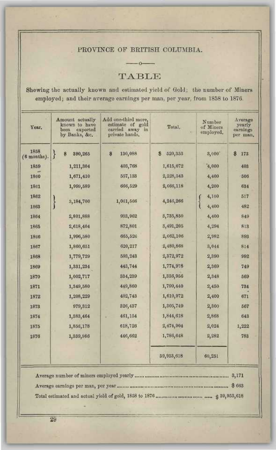### PROVINCE OF BRITISH COLUMBIA.

 $-0$ 

TABLE

Shewing the actually known and estimated yield of Gold; the number of Miners employed; and their average earnings *per* man, per year, from 1858 to 1876.

| Year.               | Amount actually<br>known to have<br>been<br>exported<br>by Banks, &c. | Add one-third more,<br>estimate of gold<br>carried away in<br>private hands. | Total.       | Number<br>of Miners<br>employed. | Average<br>yearly<br>earnings<br>per man. |
|---------------------|-----------------------------------------------------------------------|------------------------------------------------------------------------------|--------------|----------------------------------|-------------------------------------------|
| 1858<br>(6 months). | ł<br>390,265<br>\$                                                    | 8<br>130,088                                                                 | S<br>520,353 | 3,000                            | \$<br>173                                 |
| 1859                | 1,211,304                                                             | 403,768                                                                      | 1,615,072    | 4,000                            | 403                                       |
| 1860                | 1,671,410                                                             | 557,188                                                                      | 2,228,543    | 4,400                            | 506                                       |
| 1861                | 1,999,589                                                             | 666,529                                                                      | 2,666,118    | 4,200                            | 634                                       |
| 1862<br>1863        | 3,184,700<br>Ì                                                        | 1,061,566                                                                    | 4,246,266    | 4,100<br>ŧ<br>4,400              | 517<br>482                                |
| 1864                | 2,801,888                                                             | 938,962                                                                      | 8,735,850    | 4,400                            | 849                                       |
| 1865                | 2,618,404                                                             | 872,801                                                                      | 3,491,205    | 4,294                            | 813                                       |
| 1866                | 1,996,580                                                             | 665,526                                                                      | 2,662,106    | 2,182                            | 893                                       |
| 1867                | 1,860,651                                                             | 620, 217                                                                     | 2,480,868    | 3,044                            | 814                                       |
| 1868                | 1,779,729                                                             | 593,243                                                                      | 2,372,972    | 2,390                            | 992                                       |
| 1869                | 1,331,234                                                             | 443,744                                                                      | 1,774,978    | 2,369                            | 749                                       |
| 1870                | 1,002,717                                                             | 334,239                                                                      | 1,336,956    | 2,348                            | 569                                       |
| 1871                | 1,349,580                                                             | 449,860                                                                      | 1,799,440    | 2,450                            | 734                                       |
| 1872                | 1,208,229                                                             | 402,743                                                                      | 1,610,972    | 2,400                            | 671                                       |
| 1873                | 979,312                                                               | 326,437                                                                      | 1,305,749    | 2,800                            | 567                                       |
| 1874                | 1,383,464                                                             | 461,154                                                                      | 1,844,618    | 2,868                            | 643                                       |
| 1875                | 1,856,178                                                             | 618,726                                                                      | 2,474,904    | 2,024                            | 1,222                                     |
| 1876                | 1,339,986                                                             | 446,662                                                                      | 1,786,648    | 2,282                            | 783                                       |
|                     |                                                                       |                                                                              | 39,953,618   | 60,251                           |                                           |

3,171 \$663 153,618